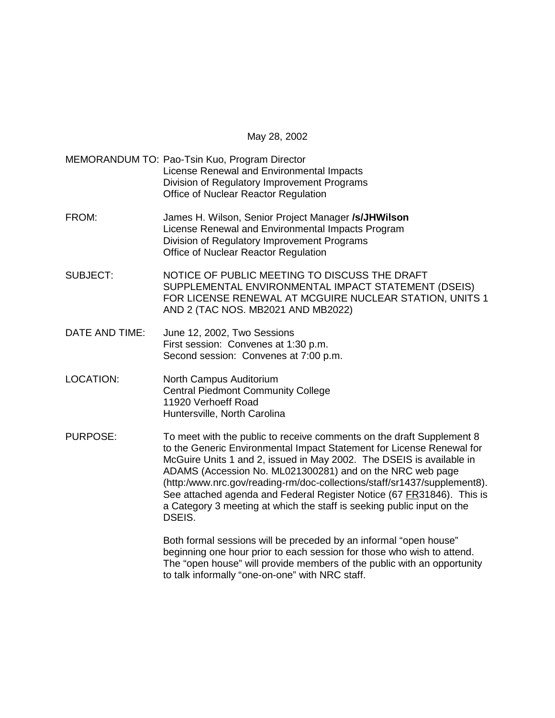May 28, 2002

MEMORANDUM TO: Pao-Tsin Kuo, Program Director License Renewal and Environmental Impacts Division of Regulatory Improvement Programs Office of Nuclear Reactor Regulation

- FROM: James H. Wilson, Senior Project Manager **/s/JHWilson** License Renewal and Environmental Impacts Program Division of Regulatory Improvement Programs Office of Nuclear Reactor Regulation
- SUBJECT: NOTICE OF PUBLIC MEETING TO DISCUSS THE DRAFT SUPPLEMENTAL ENVIRONMENTAL IMPACT STATEMENT (DSEIS) FOR LICENSE RENEWAL AT MCGUIRE NUCLEAR STATION, UNITS 1 AND 2 (TAC NOS. MB2021 AND MB2022)
- DATE AND TIME: June 12, 2002, Two Sessions First session: Convenes at 1:30 p.m. Second session: Convenes at 7:00 p.m.
- LOCATION: North Campus Auditorium Central Piedmont Community College 11920 Verhoeff Road Huntersville, North Carolina
- PURPOSE: To meet with the public to receive comments on the draft Supplement 8 to the Generic Environmental Impact Statement for License Renewal for McGuire Units 1 and 2, issued in May 2002. The DSEIS is available in ADAMS (Accession No. ML021300281) and on the NRC web page (http:/www.nrc.gov/reading-rm/doc-collections/staff/sr1437/supplement8). See attached agenda and Federal Register Notice (67 FR31846). This is a Category 3 meeting at which the staff is seeking public input on the DSEIS.

Both formal sessions will be preceded by an informal "open house" beginning one hour prior to each session for those who wish to attend. The "open house" will provide members of the public with an opportunity to talk informally "one-on-one" with NRC staff.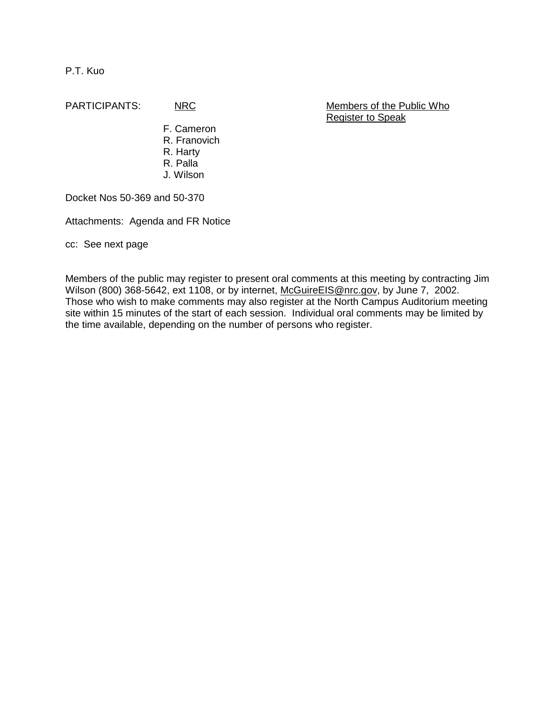P.T. Kuo

PARTICIPANTS: NRC NRC Members of the Public Who Register to Speak

> F. Cameron R. Franovich R. Harty R. Palla J. Wilson

Docket Nos 50-369 and 50-370

Attachments: Agenda and FR Notice

cc: See next page

Members of the public may register to present oral comments at this meeting by contracting Jim Wilson (800) 368-5642, ext 1108, or by internet, McGuireEIS@nrc.gov, by June 7, 2002. Those who wish to make comments may also register at the North Campus Auditorium meeting site within 15 minutes of the start of each session. Individual oral comments may be limited by the time available, depending on the number of persons who register.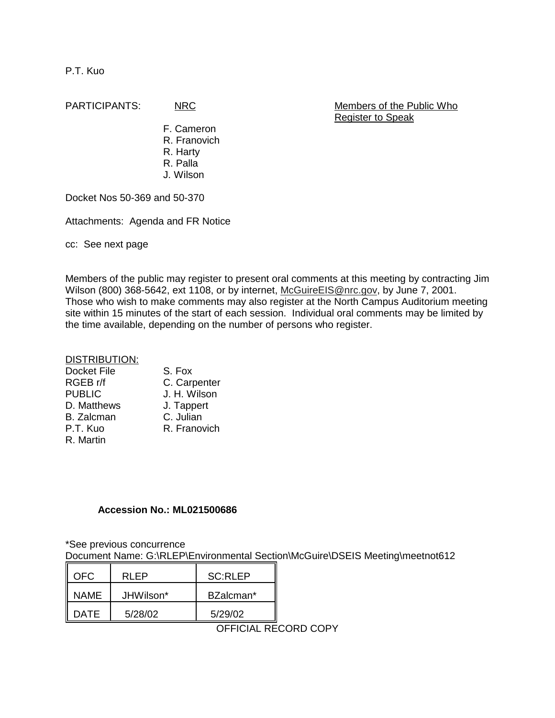P.T. Kuo

PARTICIPANTS: NRC Members of the Public Who Register to Speak

> F. Cameron R. Franovich R. Harty R. Palla J. Wilson

Docket Nos 50-369 and 50-370

Attachments: Agenda and FR Notice

cc: See next page

Members of the public may register to present oral comments at this meeting by contracting Jim Wilson (800) 368-5642, ext 1108, or by internet, McGuireEIS@nrc.gov, by June 7, 2001. Those who wish to make comments may also register at the North Campus Auditorium meeting site within 15 minutes of the start of each session. Individual oral comments may be limited by the time available, depending on the number of persons who register.

## DISTRIBUTION:

| <b>Docket File</b> | S. Fox       |
|--------------------|--------------|
| RGEB r/f           | C. Carpenter |
| <b>PUBLIC</b>      | J. H. Wilson |
| D. Matthews        | J. Tappert   |
| <b>B.</b> Zalcman  | C. Julian    |
| P.T. Kuo           | R. Franovich |
| R. Martin          |              |

## **Accession No.: ML021500686**

\*See previous concurrence

Document Name: G:\RLEP\Environmental Section\McGuire\DSEIS Meeting\meetnot612

| NFC.        | RI FP     | SC:RLEP   |
|-------------|-----------|-----------|
| <b>NAME</b> | JHWilson* | BZalcman* |
| DATF.       | 5/28/02   | 5/29/02   |

OFFICIAL RECORD COPY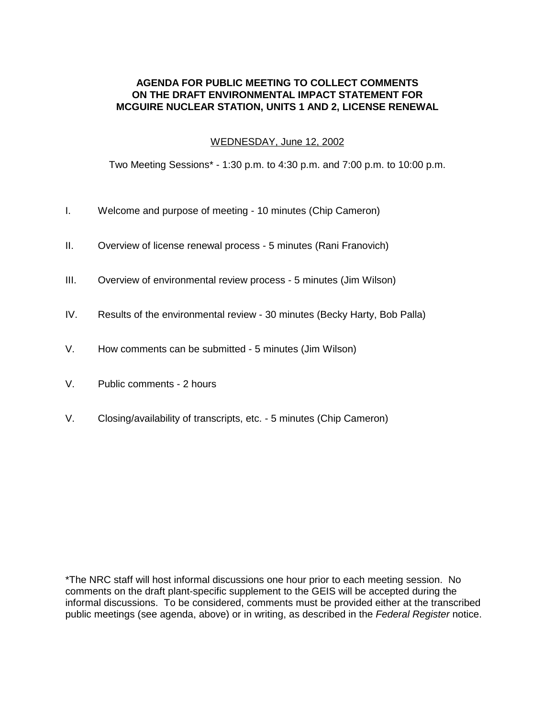## **AGENDA FOR PUBLIC MEETING TO COLLECT COMMENTS ON THE DRAFT ENVIRONMENTAL IMPACT STATEMENT FOR MCGUIRE NUCLEAR STATION, UNITS 1 AND 2, LICENSE RENEWAL**

## WEDNESDAY, June 12, 2002

Two Meeting Sessions\* - 1:30 p.m. to 4:30 p.m. and 7:00 p.m. to 10:00 p.m.

- I. Welcome and purpose of meeting 10 minutes (Chip Cameron)
- II. Overview of license renewal process 5 minutes (Rani Franovich)
- III. Overview of environmental review process 5 minutes (Jim Wilson)
- IV. Results of the environmental review 30 minutes (Becky Harty, Bob Palla)
- V. How comments can be submitted 5 minutes (Jim Wilson)
- V. Public comments 2 hours
- V. Closing/availability of transcripts, etc. 5 minutes (Chip Cameron)

\*The NRC staff will host informal discussions one hour prior to each meeting session. No comments on the draft plant-specific supplement to the GEIS will be accepted during the informal discussions. To be considered, comments must be provided either at the transcribed public meetings (see agenda, above) or in writing, as described in the Federal Register notice.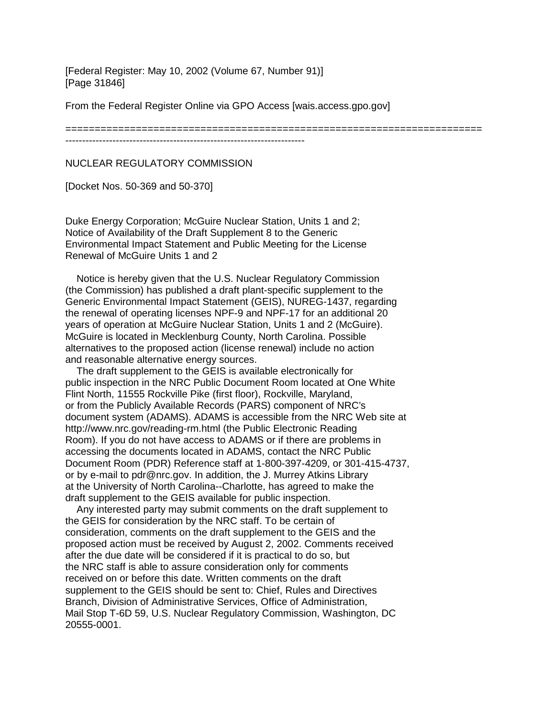[Federal Register: May 10, 2002 (Volume 67, Number 91)] [Page 31846]

From the Federal Register Online via GPO Access [wais.access.gpo.gov]

=======================================================================

-----------------------------------------------------------------------

NUCLEAR REGULATORY COMMISSION

[Docket Nos. 50-369 and 50-370]

Duke Energy Corporation; McGuire Nuclear Station, Units 1 and 2; Notice of Availability of the Draft Supplement 8 to the Generic Environmental Impact Statement and Public Meeting for the License Renewal of McGuire Units 1 and 2

 Notice is hereby given that the U.S. Nuclear Regulatory Commission (the Commission) has published a draft plant-specific supplement to the Generic Environmental Impact Statement (GEIS), NUREG-1437, regarding the renewal of operating licenses NPF-9 and NPF-17 for an additional 20 years of operation at McGuire Nuclear Station, Units 1 and 2 (McGuire). McGuire is located in Mecklenburg County, North Carolina. Possible alternatives to the proposed action (license renewal) include no action and reasonable alternative energy sources.

 The draft supplement to the GEIS is available electronically for public inspection in the NRC Public Document Room located at One White Flint North, 11555 Rockville Pike (first floor), Rockville, Maryland, or from the Publicly Available Records (PARS) component of NRC's document system (ADAMS). ADAMS is accessible from the NRC Web site at http://www.nrc.gov/reading-rm.html (the Public Electronic Reading Room). If you do not have access to ADAMS or if there are problems in accessing the documents located in ADAMS, contact the NRC Public Document Room (PDR) Reference staff at 1-800-397-4209, or 301-415-4737, or by e-mail to pdr@nrc.gov. In addition, the J. Murrey Atkins Library at the University of North Carolina--Charlotte, has agreed to make the draft supplement to the GEIS available for public inspection.

 Any interested party may submit comments on the draft supplement to the GEIS for consideration by the NRC staff. To be certain of consideration, comments on the draft supplement to the GEIS and the proposed action must be received by August 2, 2002. Comments received after the due date will be considered if it is practical to do so, but the NRC staff is able to assure consideration only for comments received on or before this date. Written comments on the draft supplement to the GEIS should be sent to: Chief, Rules and Directives Branch, Division of Administrative Services, Office of Administration, Mail Stop T-6D 59, U.S. Nuclear Regulatory Commission, Washington, DC 20555-0001.